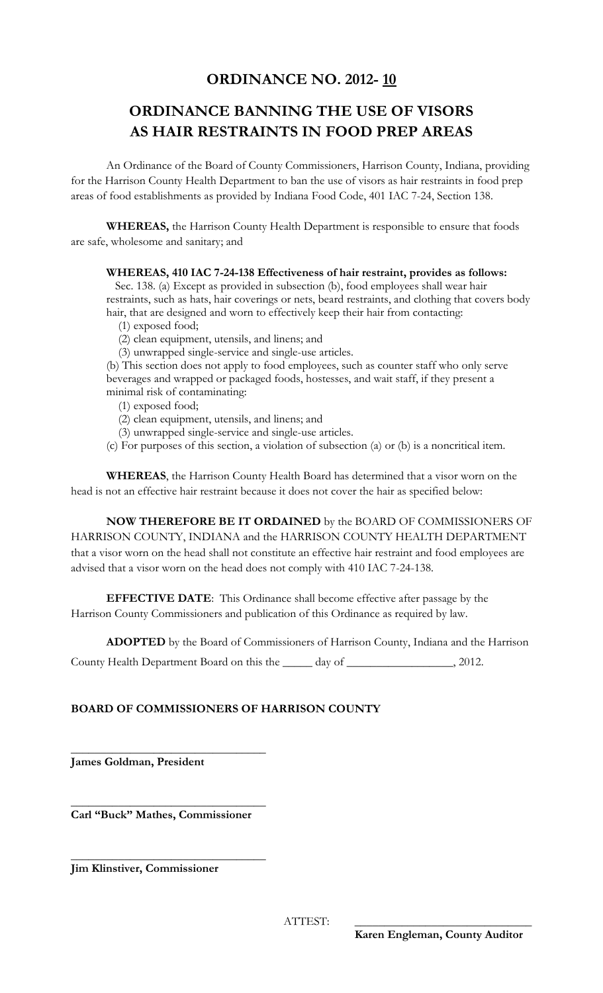## **ORDINANCE NO. 2012- 10**

# **ORDINANCE BANNING THE USE OF VISORS AS HAIR RESTRAINTS IN FOOD PREP AREAS**

An Ordinance of the Board of County Commissioners, Harrison County, Indiana, providing for the Harrison County Health Department to ban the use of visors as hair restraints in food prep areas of food establishments as provided by Indiana Food Code, 401 IAC 7-24, Section 138.

**WHEREAS,** the Harrison County Health Department is responsible to ensure that foods are safe, wholesome and sanitary; and

#### **WHEREAS, 410 IAC 7-24-138 Effectiveness of hair restraint, provides as follows:**

Sec. 138. (a) Except as provided in subsection (b), food employees shall wear hair restraints, such as hats, hair coverings or nets, beard restraints, and clothing that covers body hair, that are designed and worn to effectively keep their hair from contacting:

(1) exposed food;

(2) clean equipment, utensils, and linens; and

(3) unwrapped single-service and single-use articles.

(b) This section does not apply to food employees, such as counter staff who only serve beverages and wrapped or packaged foods, hostesses, and wait staff, if they present a minimal risk of contaminating:

(1) exposed food;

(2) clean equipment, utensils, and linens; and

(3) unwrapped single-service and single-use articles.

(c) For purposes of this section, a violation of subsection (a) or (b) is a noncritical item.

**WHEREAS**, the Harrison County Health Board has determined that a visor worn on the head is not an effective hair restraint because it does not cover the hair as specified below:

**NOW THEREFORE BE IT ORDAINED** by the BOARD OF COMMISSIONERS OF HARRISON COUNTY, INDIANA and the HARRISON COUNTY HEALTH DEPARTMENT that a visor worn on the head shall not constitute an effective hair restraint and food employees are advised that a visor worn on the head does not comply with 410 IAC 7-24-138.

**EFFECTIVE DATE**: This Ordinance shall become effective after passage by the Harrison County Commissioners and publication of this Ordinance as required by law.

**ADOPTED** by the Board of Commissioners of Harrison County, Indiana and the Harrison

County Health Department Board on this the \_\_\_\_\_ day of \_\_\_\_\_\_\_\_\_\_\_\_\_\_\_\_\_\_, 2012.

### **BOARD OF COMMISSIONERS OF HARRISON COUNTY**

**James Goldman, President**

\_\_\_\_\_\_\_\_\_\_\_\_\_\_\_\_\_\_\_\_\_\_\_\_\_\_\_\_\_\_\_\_\_ **Carl "Buck" Mathes, Commissioner**

\_\_\_\_\_\_\_\_\_\_\_\_\_\_\_\_\_\_\_\_\_\_\_\_\_\_\_\_\_\_\_\_\_

\_\_\_\_\_\_\_\_\_\_\_\_\_\_\_\_\_\_\_\_\_\_\_\_\_\_\_\_\_\_\_\_\_

**Jim Klinstiver, Commissioner**